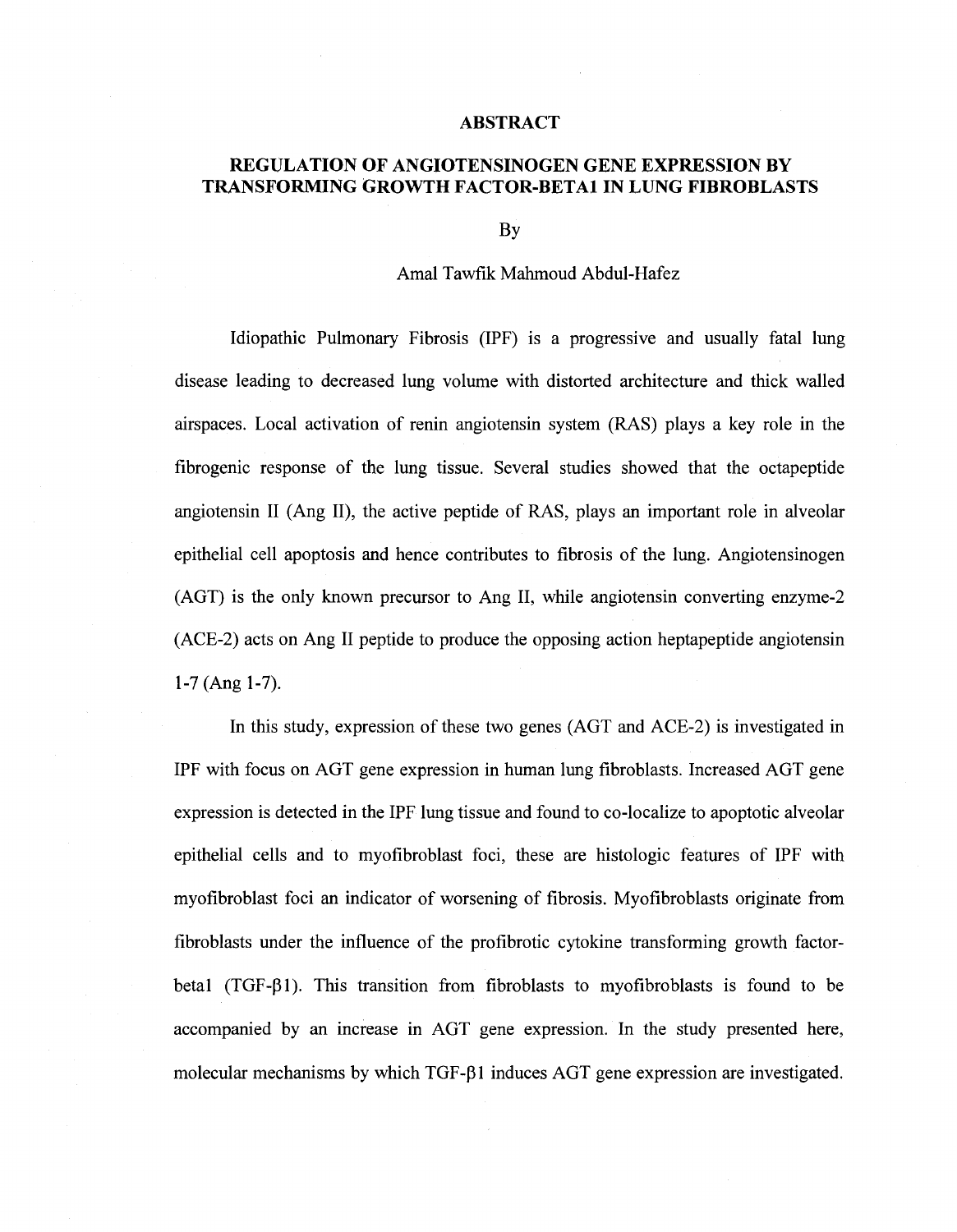## **ABSTRACT**

## **REGULATION OF ANGIOTENSINOGEN GENE EXPRESSION BY TRANSFORMING GROWTH FACTOR-BETA1 IN LUNG FIBROBLASTS**

By

## Amal Tawfik Mahmoud Abdul-Hafez

Idiopathic Pulmonary Fibrosis (IPF) is a progressive and usually fatal lung disease leading to decreased lung volume with distorted architecture and thick walled airspaces. Local activation of renin angiotensin system (RAS) plays a key role in the fibrogenic response of the lung tissue. Several studies showed that the octapeptide angiotensin II (Ang II), the active peptide of RAS, plays an important role in alveolar epithelial cell apoptosis and hence contributes to fibrosis of the lung. Angiotensinogen (AGT) is the only known precursor to Ang II, while angiotensin converting enzyme-2 (ACE-2) acts on Ang II peptide to produce the opposing action heptapeptide angiotensin 1-7 (Ang 1-7).

In this study, expression of these two genes (AGT and ACE-2) is investigated in IPF with focus on AGT gene expression in human lung fibroblasts. Increased AGT gene expression is detected in the IPF lung tissue and found to co-localize to apoptotic alveolar epithelial cells and to myofibroblast foci, these are histologic features of IPF with myofibroblast foci an indicator of worsening of fibrosis. Myofibroblasts originate from fibroblasts under the influence of the profibrotic cytokine transforming growth factorbetal (TGF- $\beta$ 1). This transition from fibroblasts to myofibroblasts is found to be accompanied by an increase in AGT gene expression. In the study presented here, molecular mechanisms by which TGF- $\beta$ 1 induces AGT gene expression are investigated.